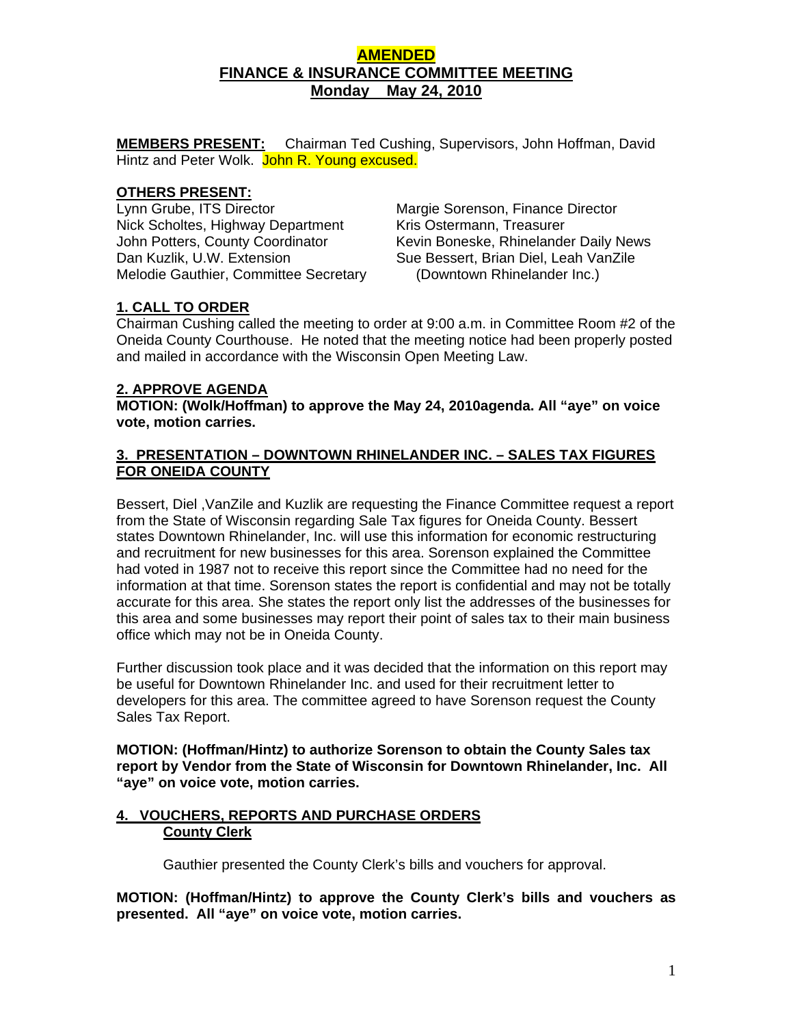# **AMENDED FINANCE & INSURANCE COMMITTEE MEETING Monday May 24, 2010**

**MEMBERS PRESENT:** Chairman Ted Cushing, Supervisors, John Hoffman, David Hintz and Peter Wolk. John R. Young excused.

## **OTHERS PRESENT:**

Lynn Grube, ITS Director Margie Sorenson, Finance Director Nick Scholtes, Highway Department Kris Ostermann, Treasurer Dan Kuzlik, U.W. Extension Sue Bessert, Brian Diel, Leah VanZile Melodie Gauthier, Committee Secretary (Downtown Rhinelander Inc.)

John Potters, County Coordinator **Kevin Boneske, Rhinelander Daily News** 

# **1. CALL TO ORDER**

Chairman Cushing called the meeting to order at 9:00 a.m. in Committee Room #2 of the Oneida County Courthouse. He noted that the meeting notice had been properly posted and mailed in accordance with the Wisconsin Open Meeting Law.

## **2. APPROVE AGENDA**

**MOTION: (Wolk/Hoffman) to approve the May 24, 2010agenda. All "aye" on voice vote, motion carries.** 

## **3. PRESENTATION – DOWNTOWN RHINELANDER INC. – SALES TAX FIGURES FOR ONEIDA COUNTY**

Bessert, Diel ,VanZile and Kuzlik are requesting the Finance Committee request a report from the State of Wisconsin regarding Sale Tax figures for Oneida County. Bessert states Downtown Rhinelander, Inc. will use this information for economic restructuring and recruitment for new businesses for this area. Sorenson explained the Committee had voted in 1987 not to receive this report since the Committee had no need for the information at that time. Sorenson states the report is confidential and may not be totally accurate for this area. She states the report only list the addresses of the businesses for this area and some businesses may report their point of sales tax to their main business office which may not be in Oneida County.

 Further discussion took place and it was decided that the information on this report may be useful for Downtown Rhinelander Inc. and used for their recruitment letter to developers for this area. The committee agreed to have Sorenson request the County Sales Tax Report.

**MOTION: (Hoffman/Hintz) to authorize Sorenson to obtain the County Sales tax report by Vendor from the State of Wisconsin for Downtown Rhinelander, Inc. All "aye" on voice vote, motion carries.** 

# **4. VOUCHERS, REPORTS AND PURCHASE ORDERS County Clerk**

Gauthier presented the County Clerk's bills and vouchers for approval.

**MOTION: (Hoffman/Hintz) to approve the County Clerk's bills and vouchers as presented. All "aye" on voice vote, motion carries.**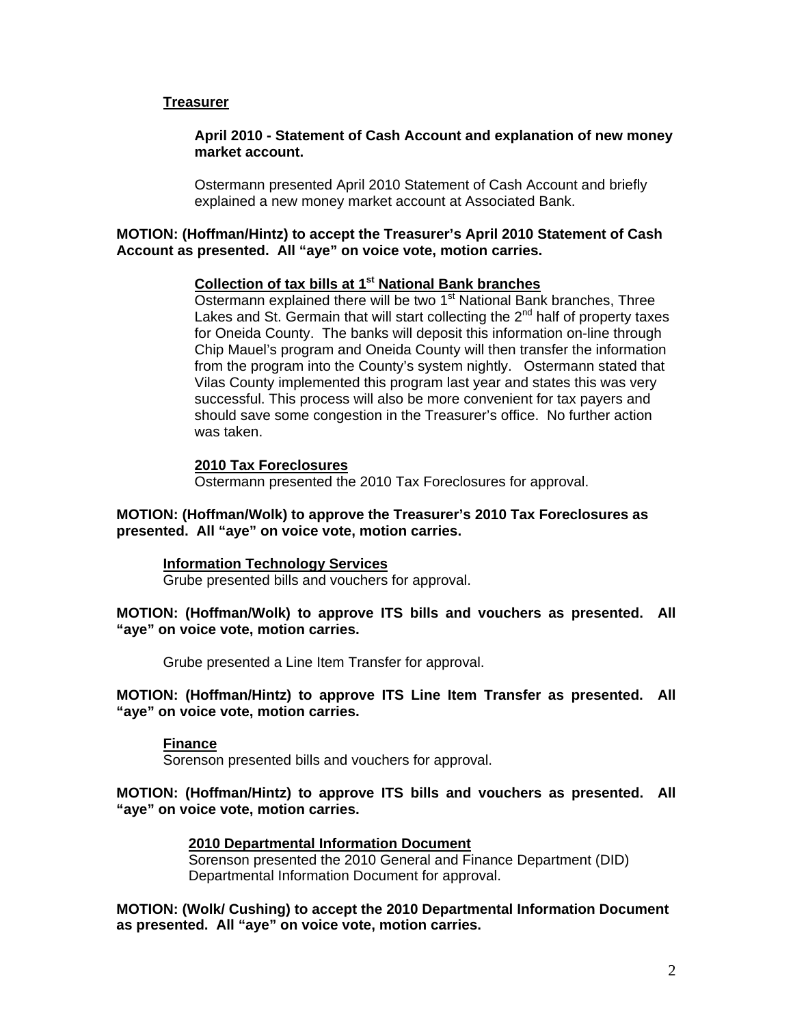### **Treasurer**

### **April 2010 - Statement of Cash Account and explanation of new money market account.**

Ostermann presented April 2010 Statement of Cash Account and briefly explained a new money market account at Associated Bank.

### **MOTION: (Hoffman/Hintz) to accept the Treasurer's April 2010 Statement of Cash Account as presented. All "aye" on voice vote, motion carries.**

## **Collection of tax bills at 1st National Bank branches**

Ostermann explained there will be two 1<sup>st</sup> National Bank branches, Three Lakes and St. Germain that will start collecting the  $2^{nd}$  half of property taxes for Oneida County. The banks will deposit this information on-line through Chip Mauel's program and Oneida County will then transfer the information from the program into the County's system nightly. Ostermann stated that Vilas County implemented this program last year and states this was very successful. This process will also be more convenient for tax payers and should save some congestion in the Treasurer's office. No further action was taken.

#### **2010 Tax Foreclosures**

Ostermann presented the 2010 Tax Foreclosures for approval.

#### **MOTION: (Hoffman/Wolk) to approve the Treasurer's 2010 Tax Foreclosures as presented. All "aye" on voice vote, motion carries.**

#### **Information Technology Services**

Grube presented bills and vouchers for approval.

#### **MOTION: (Hoffman/Wolk) to approve ITS bills and vouchers as presented. All "aye" on voice vote, motion carries.**

Grube presented a Line Item Transfer for approval.

#### **MOTION: (Hoffman/Hintz) to approve ITS Line Item Transfer as presented. All "aye" on voice vote, motion carries.**

#### **Finance**

Sorenson presented bills and vouchers for approval.

**MOTION: (Hoffman/Hintz) to approve ITS bills and vouchers as presented. All "aye" on voice vote, motion carries.** 

#### **2010 Departmental Information Document**

Sorenson presented the 2010 General and Finance Department (DID) Departmental Information Document for approval.

**MOTION: (Wolk/ Cushing) to accept the 2010 Departmental Information Document as presented. All "aye" on voice vote, motion carries.**